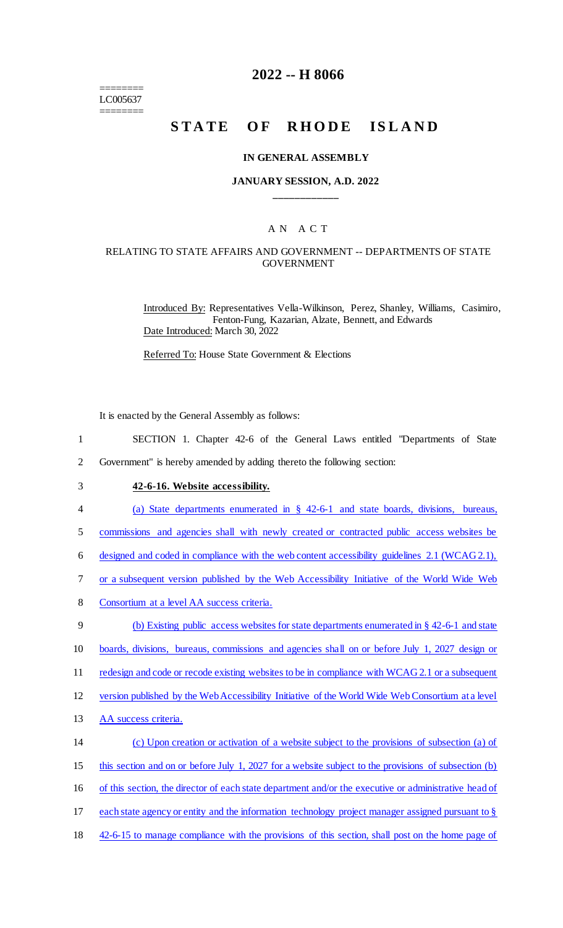======== LC005637 ========

## **2022 -- H 8066**

# STATE OF RHODE ISLAND

#### **IN GENERAL ASSEMBLY**

#### **JANUARY SESSION, A.D. 2022 \_\_\_\_\_\_\_\_\_\_\_\_**

## A N A C T

#### RELATING TO STATE AFFAIRS AND GOVERNMENT -- DEPARTMENTS OF STATE GOVERNMENT

Introduced By: Representatives Vella-Wilkinson, Perez, Shanley, Williams, Casimiro, Fenton-Fung, Kazarian, Alzate, Bennett, and Edwards Date Introduced: March 30, 2022

Referred To: House State Government & Elections

It is enacted by the General Assembly as follows:

- 1 SECTION 1. Chapter 42-6 of the General Laws entitled "Departments of State
- 2 Government" is hereby amended by adding thereto the following section:
- 3 **42-6-16. Website accessibility.**
- 4 (a) State departments enumerated in § 42-6-1 and state boards, divisions, bureaus,

5 commissions and agencies shall with newly created or contracted public access websites be

6 designed and coded in compliance with the web content accessibility guidelines 2.1 (WCAG 2.1),

- 7 or a subsequent version published by the Web Accessibility Initiative of the World Wide Web
- 8 Consortium at a level AA success criteria.
- 9 (b) Existing public access websites for state departments enumerated in § 42-6-1 and state
- 10 boards, divisions, bureaus, commissions and agencies shall on or before July 1, 2027 design or
- 11 redesign and code or recode existing websites to be in compliance with WCAG 2.1 or a subsequent
- 12 version published by the Web Accessibility Initiative of the World Wide Web Consortium at a level
- 13 AA success criteria.

## 14 (c) Upon creation or activation of a website subject to the provisions of subsection (a) of

- 15 this section and on or before July 1, 2027 for a website subject to the provisions of subsection (b)
- 16 of this section, the director of each state department and/or the executive or administrative head of
- 17 each state agency or entity and the information technology project manager assigned pursuant to §
- 18 42-6-15 to manage compliance with the provisions of this section, shall post on the home page of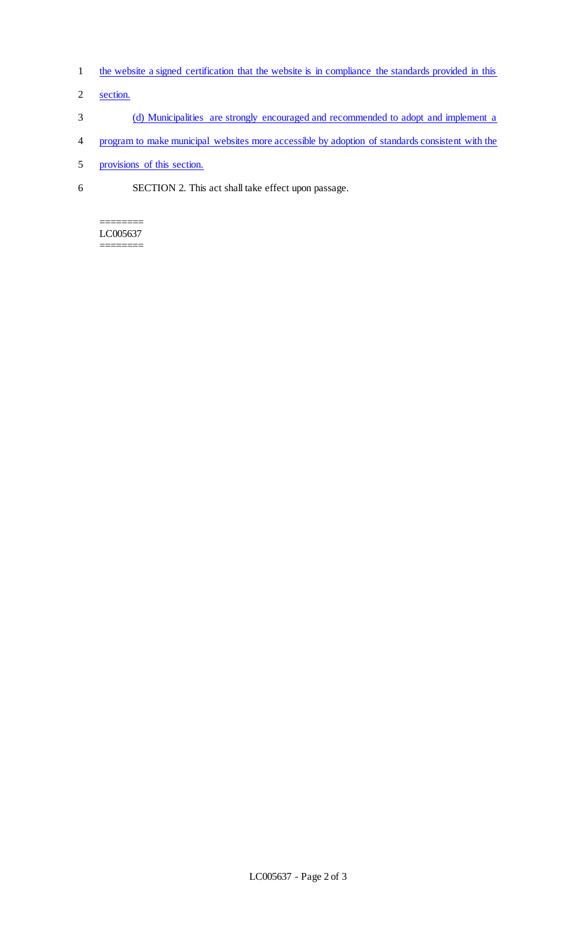- 1 the website a signed certification that the website is in compliance the standards provided in this
- 2 section.
- 3 (d) Municipalities are strongly encouraged and recommended to adopt and implement a
- 4 program to make municipal websites more accessible by adoption of standards consistent with the
- 5 provisions of this section.
- 6 SECTION 2. This act shall take effect upon passage.

======== LC005637 ========